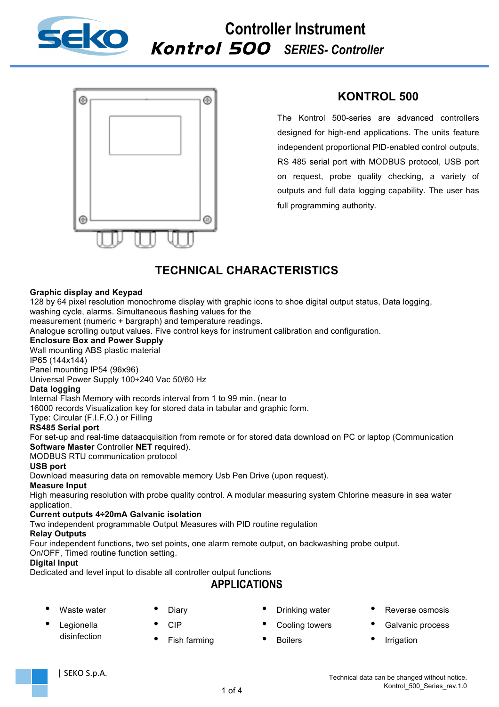

### **Controller Instrument** Kontrol 500 *SERIES- Controller*



*Instruments*

## **KONTROL 500**

The Kontrol 500-series are advanced controllers designed for high-end applications. The units feature independent proportional PID-enabled control outputs, RS 485 serial port with MODBUS protocol, USB port on request, probe quality checking, a variety of outputs and full data logging capability. The user has full programming authority.

## **TECHNICAL CHARACTERISTICS**

### **Graphic display and Keypad**

128 by 64 pixel resolution monochrome display with graphic icons to shoe digital output status, Data logging, washing cycle, alarms. Simultaneous flashing values for the

measurement (numeric + bargraph) and temperature readings.

Analogue scrolling output values. Five control keys for instrument calibration and configuration.

### **Enclosure Box and Power Supply**

Wall mounting ABS plastic material

IP65 (144x144)

Panel mounting IP54 (96x96)

Universal Power Supply 100÷240 Vac 50/60 Hz

#### **Data logging**

Internal Flash Memory with records interval from 1 to 99 min. (near to

16000 records Visualization key for stored data in tabular and graphic form.

Type: Circular (F.I.F.O.) or Filling

#### **RS485 Serial port**

For set-up and real-time dataacquisition from remote or for stored data download on PC or laptop (Communication **Software Master** Controller **NET** required).

MODBUS RTU communication protocol

#### **USB port**

Download measuring data on removable memory Usb Pen Drive (upon request).

#### **Measure Input**

High measuring resolution with probe quality control. A modular measuring system Chlorine measure in sea water application.

#### **Current outputs 4÷20mA Galvanic isolation**

Two independent programmable Output Measures with PID routine regulation

#### **Relay Outputs**

Four independent functions, two set points, one alarm remote output, on backwashing probe output.

On/OFF, Timed routine function setting.

### **Digital Input**

Dedicated and level input to disable all controller output functions

## **APPLICATIONS**

1 of 4

Waste water **Legionella** 

disinfection

**Diary** • CIP

• Fish farming

- Drinking water
- Cooling towers
- Boilers
- Reverse osmosis
- Galvanic process
- **Irrigation**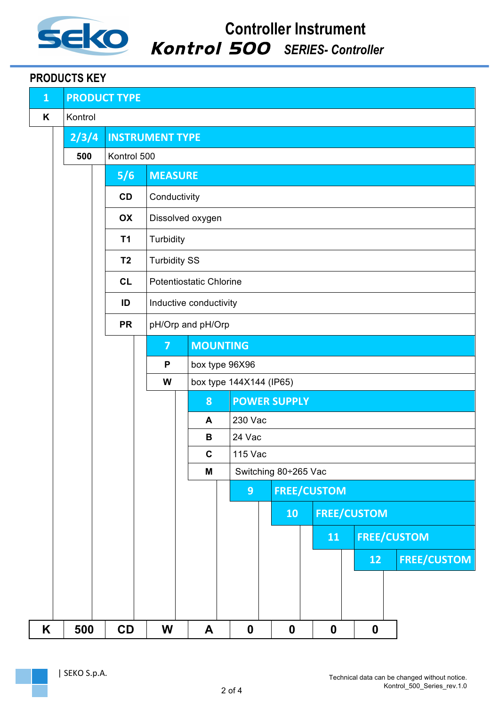

*Instruments*

## **PRODUCTS KEY**

| $\mathbf{1}$ |         | <b>PRODUCT TYPE</b> |                                |                          |                 |                                 |                  |  |                  |                    |                    |
|--------------|---------|---------------------|--------------------------------|--------------------------|-----------------|---------------------------------|------------------|--|------------------|--------------------|--------------------|
| Κ            | Kontrol |                     |                                |                          |                 |                                 |                  |  |                  |                    |                    |
|              | 2/3/4   |                     | <b>INSTRUMENT TYPE</b>         |                          |                 |                                 |                  |  |                  |                    |                    |
|              | 500     | Kontrol 500         |                                |                          |                 |                                 |                  |  |                  |                    |                    |
|              |         | 5/6                 | <b>MEASURE</b>                 |                          |                 |                                 |                  |  |                  |                    |                    |
|              |         | CD                  | Conductivity                   |                          |                 |                                 |                  |  |                  |                    |                    |
|              |         | OX                  | Dissolved oxygen               |                          |                 |                                 |                  |  |                  |                    |                    |
|              |         | <b>T1</b>           | Turbidity                      |                          |                 |                                 |                  |  |                  |                    |                    |
|              |         | T <sub>2</sub>      | <b>Turbidity SS</b>            |                          |                 |                                 |                  |  |                  |                    |                    |
|              |         | CL                  | <b>Potentiostatic Chlorine</b> |                          |                 |                                 |                  |  |                  |                    |                    |
|              |         | ID                  | Inductive conductivity         |                          |                 |                                 |                  |  |                  |                    |                    |
|              |         | <b>PR</b>           | pH/Orp and pH/Orp              |                          |                 |                                 |                  |  |                  |                    |                    |
|              |         |                     | $\overline{7}$                 |                          | <b>MOUNTING</b> |                                 |                  |  |                  |                    |                    |
|              |         |                     | P                              |                          | box type 96X96  |                                 |                  |  |                  |                    |                    |
|              |         |                     | W                              | box type 144X144 (IP65)  |                 |                                 |                  |  |                  |                    |                    |
|              |         |                     |                                | <b>POWER SUPPLY</b><br>8 |                 |                                 |                  |  |                  |                    |                    |
|              |         |                     |                                | A                        | 230 Vac         |                                 |                  |  |                  |                    |                    |
|              |         |                     |                                | В                        |                 | 24 Vac                          |                  |  |                  |                    |                    |
|              |         |                     |                                | $\mathbf c$<br>M         |                 | 115 Vac<br>Switching 80÷265 Vac |                  |  |                  |                    |                    |
|              |         |                     |                                |                          |                 | <b>FREE/CUSTOM</b><br>9         |                  |  |                  |                    |                    |
|              |         |                     |                                |                          |                 |                                 | 10               |  |                  | <b>FREE/CUSTOM</b> |                    |
|              |         |                     |                                |                          |                 |                                 |                  |  |                  |                    |                    |
|              |         |                     |                                |                          |                 |                                 |                  |  | 11               | <b>FREE/CUSTOM</b> |                    |
|              |         |                     |                                |                          |                 |                                 |                  |  |                  | 12                 | <b>FREE/CUSTOM</b> |
|              |         |                     |                                |                          |                 |                                 |                  |  |                  |                    |                    |
|              |         |                     |                                |                          |                 |                                 |                  |  |                  |                    |                    |
| K            | 500     | CD                  | W                              | A                        | $\mathbf 0$     |                                 | $\boldsymbol{0}$ |  | $\boldsymbol{0}$ | $\boldsymbol{0}$   |                    |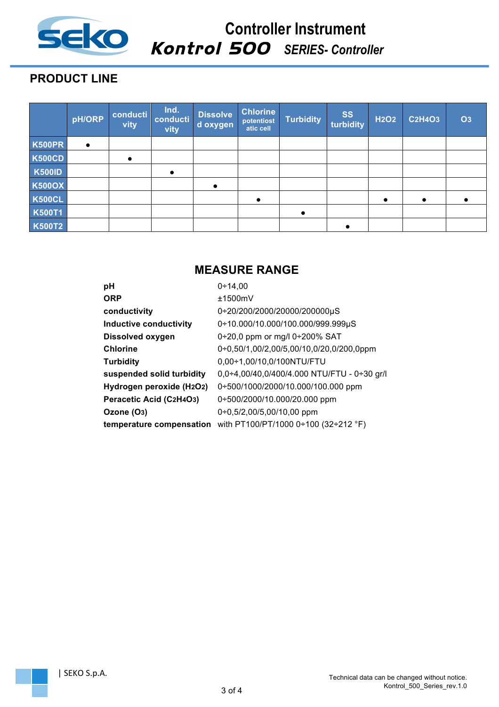

### **Controller Instrument** Kontrol 500 *SERIES- Controller*

*Instruments*

# **PRODUCT LINE**

|               | pH/ORP    | conducti<br>vity | Ind.<br>conducti<br>vity | <b>Dissolve</b><br>d oxygen | <b>Chlorine</b><br>potentiost<br>atic cell | Turbidity | <b>SS</b><br>turbidity | <b>H2O2</b> | <b>C2H4O3</b> | <b>O3</b> |
|---------------|-----------|------------------|--------------------------|-----------------------------|--------------------------------------------|-----------|------------------------|-------------|---------------|-----------|
| <b>K500PR</b> | $\bullet$ |                  |                          |                             |                                            |           |                        |             |               |           |
| <b>K500CD</b> |           | $\bullet$        |                          |                             |                                            |           |                        |             |               |           |
| <b>K500ID</b> |           |                  | $\bullet$                |                             |                                            |           |                        |             |               |           |
| <b>K500OX</b> |           |                  |                          | $\bullet$                   |                                            |           |                        |             |               |           |
| <b>K500CL</b> |           |                  |                          |                             | $\bullet$                                  |           |                        | $\bullet$   | $\bullet$     |           |
| <b>K500T1</b> |           |                  |                          |                             |                                            | $\bullet$ |                        |             |               |           |
| <b>K500T2</b> |           |                  |                          |                             |                                            |           |                        |             |               |           |

# **MEASURE RANGE**

| рH                            | $0+14.00$                                   |
|-------------------------------|---------------------------------------------|
| <b>ORP</b>                    | ±1500mV                                     |
| conductivity                  | 0÷20/200/2000/20000/200000µS                |
| <b>Inductive conductivity</b> | 0+10.000/10.000/100.000/999.999µS           |
| <b>Dissolved oxygen</b>       | 0÷20,0 ppm or mg/l 0÷200% SAT               |
| <b>Chlorine</b>               | 0+0,50/1,00/2,00/5,00/10,0/20,0/200,0ppm    |
| <b>Turbidity</b>              | 0,00÷1,00/10,0/100NTU/FTU                   |
| suspended solid turbidity     | 0,0÷4,00/40,0/400/4.000 NTU/FTU - 0÷30 gr/l |
| Hydrogen peroxide (H2O2)      | 0÷500/1000/2000/10.000/100.000 ppm          |
| Peracetic Acid (C2H4O3)       | 0÷500/2000/10.000/20.000 ppm                |
| Ozone (O <sub>3</sub> )       | $0+0,5/2,00/5,00/10,00$ ppm                 |
| temperature compensation      | with PT100/PT/1000 0÷100 (32÷212 °F)        |